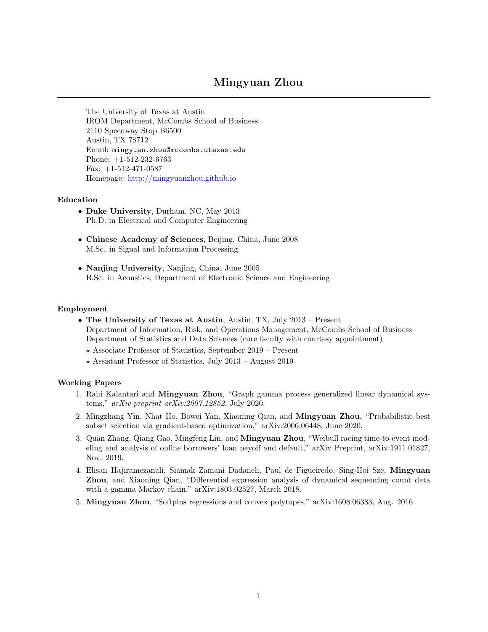# Mingyuan Zhou

The University of Texas at Austin IROM Department, McCombs School of Business 2110 Speedway Stop B6500 Austin, TX 78712 Email: [mingyuan.zhou@mccombs.utexas.edu](mailto:mingyuan.zhou@mccombs.utexas.edu) Phone: +1-512-232-6763 Fax: +1-512-471-0587 Homepage: <http://mingyuanzhou.github.io>

#### Education

- *•* Duke University, Durham, NC, May 2013 Ph.D. in Electrical and Computer Engineering
- *•* Chinese Academy of Sciences, Beijing, China, June 2008 M.Sc. in Signal and Information Processing
- Nanjing University, Nanjing, China, June 2005 B.Sc. in Acoustics, Department of Electronic Science and Engineering

#### Employment

- *•* The University of Texas at Austin, Austin, TX, July 2013 Present Department of Information, Risk, and Operations Management, McCombs School of Business Department of Statistics and Data Sciences (core faculty with courtesy appointment)
	- ? Associate Professor of Statistics, September 2019 Present
	- $\star$  Assistant Professor of Statistics, July 2013 August 2019

#### Working Papers

- 1. Rahi Kalantari and Mingyuan Zhou, "Graph gamma process generalized linear dynamical systems," *arXiv preprint arXiv:2007.12852*, July 2020.
- 2. Mingzhang Yin, Nhat Ho, Bowei Yan, Xiaoning Qian, and Mingyuan Zhou, "Probabilistic best subset selection via gradient-based optimization," arXiv:2006.06448, June 2020.
- 3. Quan Zhang, Qiang Gao, Mingfeng Lin, and Mingyuan Zhou, "Weibull racing time-to-event modeling and analysis of online borrowers' loan payoff and default," arXiv Preprint, arXiv:1911.01827, Nov. 2019.
- 4. Ehsan Hajiramezanali, Siamak Zamani Dadaneh, Paul de Figueiredo, Sing-Hoi Sze, Mingyuan Zhou, and Xiaoning Qian, "Differential expression analysis of dynamical sequencing count data with a gamma Markov chain," arXiv:1803.02527, March 2018.
- 5. Mingyuan Zhou, "Softplus regressions and convex polytopes," arXiv:1608.06383, Aug. 2016.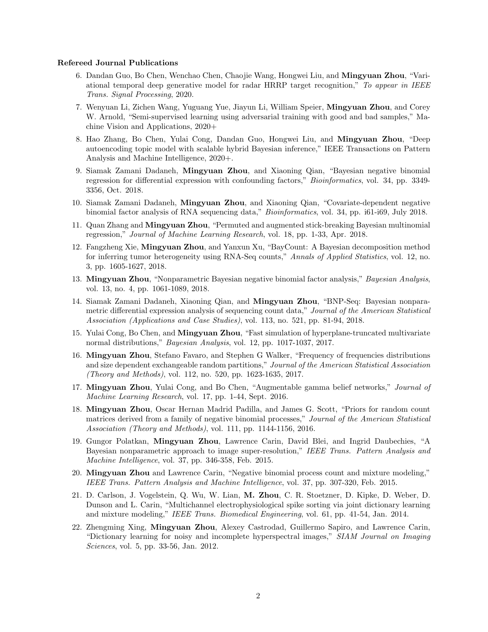#### Refereed Journal Publications

- 6. Dandan Guo, Bo Chen, Wenchao Chen, Chaojie Wang, Hongwei Liu, and Mingyuan Zhou, "Variational temporal deep generative model for radar HRRP target recognition," *To appear in IEEE Trans. Signal Processing*, 2020.
- 7. Wenyuan Li, Zichen Wang, Yuguang Yue, Jiayun Li, William Speier, Mingyuan Zhou, and Corey W. Arnold, "Semi-supervised learning using adversarial training with good and bad samples," Machine Vision and Applications, 2020+
- 8. Hao Zhang, Bo Chen, Yulai Cong, Dandan Guo, Hongwei Liu, and Mingyuan Zhou, "Deep autoencoding topic model with scalable hybrid Bayesian inference," IEEE Transactions on Pattern Analysis and Machine Intelligence, 2020+.
- 9. Siamak Zamani Dadaneh, Mingyuan Zhou, and Xiaoning Qian, "Bayesian negative binomial regression for differential expression with confounding factors," *Bioinformatics*, vol. 34, pp. 3349-3356, Oct. 2018.
- 10. Siamak Zamani Dadaneh, Mingyuan Zhou, and Xiaoning Qian, "Covariate-dependent negative binomial factor analysis of RNA sequencing data," *Bioinformatics*, vol. 34, pp. i61-i69, July 2018.
- 11. Quan Zhang and Mingyuan Zhou, "Permuted and augmented stick-breaking Bayesian multinomial regression," *Journal of Machine Learning Research*, vol. 18, pp. 1-33, Apr. 2018.
- 12. Fangzheng Xie, Mingyuan Zhou, and Yanxun Xu, "BayCount: A Bayesian decomposition method for inferring tumor heterogeneity using RNA-Seq counts," *Annals of Applied Statistics*, vol. 12, no. 3, pp. 1605-1627, 2018.
- 13. Mingyuan Zhou, "Nonparametric Bayesian negative binomial factor analysis," *Bayesian Analysis*, vol. 13, no. 4, pp. 1061-1089, 2018.
- 14. Siamak Zamani Dadaneh, Xiaoning Qian, and Mingyuan Zhou, "BNP-Seq: Bayesian nonparametric differential expression analysis of sequencing count data," *Journal of the American Statistical Association (Applications and Case Studies)*, vol. 113, no. 521, pp. 81-94, 2018.
- 15. Yulai Cong, Bo Chen, and Mingyuan Zhou, "Fast simulation of hyperplane-truncated multivariate normal distributions," *Bayesian Analysis*, vol. 12, pp. 1017-1037, 2017.
- 16. Mingyuan Zhou, Stefano Favaro, and Stephen G Walker, "Frequency of frequencies distributions and size dependent exchangeable random partitions," *Journal of the American Statistical Association (Theory and Methods)*, vol. 112, no. 520, pp. 1623-1635, 2017.
- 17. Mingyuan Zhou, Yulai Cong, and Bo Chen, "Augmentable gamma belief networks," *Journal of Machine Learning Research*, vol. 17, pp. 1-44, Sept. 2016.
- 18. Mingyuan Zhou, Oscar Hernan Madrid Padilla, and James G. Scott, "Priors for random count matrices derived from a family of negative binomial processes," *Journal of the American Statistical Association (Theory and Methods)*, vol. 111, pp. 1144-1156, 2016.
- 19. Gungor Polatkan, Mingyuan Zhou, Lawrence Carin, David Blei, and Ingrid Daubechies, "A Bayesian nonparametric approach to image super-resolution," *IEEE Trans. Pattern Analysis and Machine Intelligence*, vol. 37, pp. 346-358, Feb. 2015.
- 20. Mingyuan Zhou and Lawrence Carin, "Negative binomial process count and mixture modeling," *IEEE Trans. Pattern Analysis and Machine Intelligence*, vol. 37, pp. 307-320, Feb. 2015.
- 21. D. Carlson, J. Vogelstein, Q. Wu, W. Lian, M. Zhou, C. R. Stoetzner, D. Kipke, D. Weber, D. Dunson and L. Carin, "Multichannel electrophysiological spike sorting via joint dictionary learning and mixture modeling," *IEEE Trans. Biomedical Engineering*, vol. 61, pp. 41-54, Jan. 2014.
- 22. Zhengming Xing, Mingyuan Zhou, Alexey Castrodad, Guillermo Sapiro, and Lawrence Carin, "Dictionary learning for noisy and incomplete hyperspectral images," *SIAM Journal on Imaging Sciences*, vol. 5, pp. 33-56, Jan. 2012.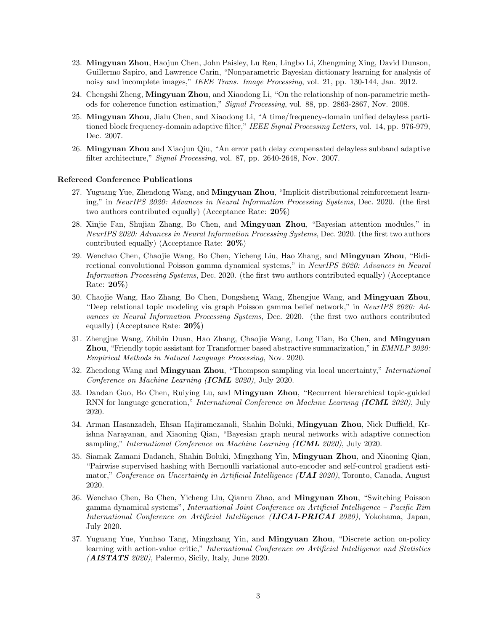- 23. Mingyuan Zhou, Haojun Chen, John Paisley, Lu Ren, Lingbo Li, Zhengming Xing, David Dunson, Guillermo Sapiro, and Lawrence Carin, "Nonparametric Bayesian dictionary learning for analysis of noisy and incomplete images," *IEEE Trans. Image Processing*, vol. 21, pp. 130-144, Jan. 2012.
- 24. Chengshi Zheng, Mingyuan Zhou, and Xiaodong Li, "On the relationship of non-parametric methods for coherence function estimation," *Signal Processing*, vol. 88, pp. 2863-2867, Nov. 2008.
- 25. Mingyuan Zhou, Jialu Chen, and Xiaodong Li, "A time/frequency-domain unified delayless partitioned block frequency-domain adaptive filter," *IEEE Signal Processing Letters*, vol. 14, pp. 976-979, Dec. 2007.
- 26. Mingyuan Zhou and Xiaojun Qiu, "An error path delay compensated delayless subband adaptive filter architecture," *Signal Processing*, vol. 87, pp. 2640-2648, Nov. 2007.

### Refereed Conference Publications

- 27. Yuguang Yue, Zhendong Wang, and Mingyuan Zhou, "Implicit distributional reinforcement learning," in *NeurIPS 2020: Advances in Neural Information Processing Systems*, Dec. 2020. (the first two authors contributed equally) (Acceptance Rate: 20%)
- 28. Xinjie Fan, Shujian Zhang, Bo Chen, and Mingyuan Zhou, "Bayesian attention modules," in *NeurIPS 2020: Advances in Neural Information Processing Systems*, Dec. 2020. (the first two authors contributed equally) (Acceptance Rate: 20%)
- 29. Wenchao Chen, Chaojie Wang, Bo Chen, Yicheng Liu, Hao Zhang, and Mingyuan Zhou, "Bidirectional convolutional Poisson gamma dynamical systems," in *NeurIPS 2020: Advances in Neural Information Processing Systems*, Dec. 2020. (the first two authors contributed equally) (Acceptance Rate: 20%)
- 30. Chaojie Wang, Hao Zhang, Bo Chen, Dongsheng Wang, Zhengjue Wang, and Mingyuan Zhou, "Deep relational topic modeling via graph Poisson gamma belief network," in *NeurIPS 2020: Advances in Neural Information Processing Systems*, Dec. 2020. (the first two authors contributed equally) (Acceptance Rate: 20%)
- 31. Zhengjue Wang, Zhibin Duan, Hao Zhang, Chaojie Wang, Long Tian, Bo Chen, and Mingyuan Zhou, "Friendly topic assistant for Transformer based abstractive summarization," in *EMNLP 2020: Empirical Methods in Natural Language Processing*, Nov. 2020.
- 32. Zhendong Wang and Mingyuan Zhou, "Thompson sampling via local uncertainty," *International Conference on Machine Learning (ICML 2020)*, July 2020.
- 33. Dandan Guo, Bo Chen, Ruiying Lu, and Mingyuan Zhou, "Recurrent hierarchical topic-guided RNN for language generation," *International Conference on Machine Learning (ICML 2020)*, July 2020.
- 34. Arman Hasanzadeh, Ehsan Hajiramezanali, Shahin Boluki, Mingyuan Zhou, Nick Duffield, Krishna Narayanan, and Xiaoning Qian, "Bayesian graph neural networks with adaptive connection sampling," *International Conference on Machine Learning (ICML 2020)*, July 2020.
- 35. Siamak Zamani Dadaneh, Shahin Boluki, Mingzhang Yin, Mingyuan Zhou, and Xiaoning Qian, "Pairwise supervised hashing with Bernoulli variational auto-encoder and self-control gradient estimator," *Conference on Uncertainty in Artificial Intelligence (UAI 2020)*, Toronto, Canada, August 2020.
- 36. Wenchao Chen, Bo Chen, Yicheng Liu, Qianru Zhao, and Mingyuan Zhou, "Switching Poisson gamma dynamical systems", *International Joint Conference on Artificial Intelligence – Pacific Rim International Conference on Artificial Intelligence (IJCAI-PRICAI 2020)*, Yokohama, Japan, July 2020.
- 37. Yuguang Yue, Yunhao Tang, Mingzhang Yin, and Mingyuan Zhou, "Discrete action on-policy learning with action-value critic," *International Conference on Artificial Intelligence and Statistics (AISTATS 2020)*, Palermo, Sicily, Italy, June 2020.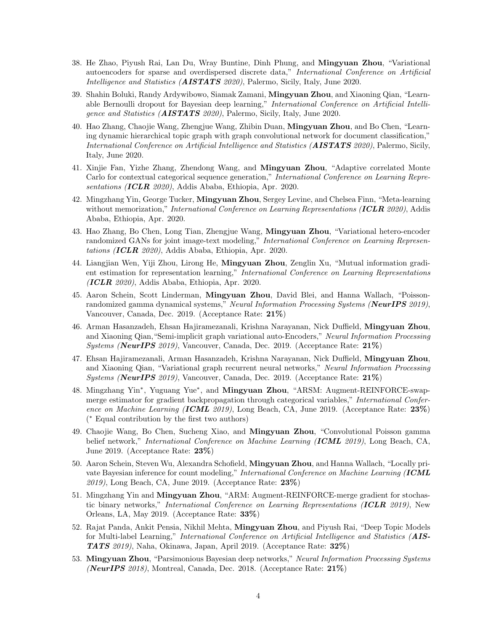- 38. He Zhao, Piyush Rai, Lan Du, Wray Buntine, Dinh Phung, and Mingyuan Zhou, "Variational autoencoders for sparse and overdispersed discrete data," *International Conference on Artificial Intelligence and Statistics (AISTATS 2020)*, Palermo, Sicily, Italy, June 2020.
- 39. Shahin Boluki, Randy Ardywibowo, Siamak Zamani, Mingyuan Zhou, and Xiaoning Qian, "Learnable Bernoulli dropout for Bayesian deep learning," *International Conference on Artificial Intelligence and Statistics (AISTATS 2020)*, Palermo, Sicily, Italy, June 2020.
- 40. Hao Zhang, Chaojie Wang, Zhengjue Wang, Zhibin Duan, Mingyuan Zhou, and Bo Chen, "Learning dynamic hierarchical topic graph with graph convolutional network for document classification," *International Conference on Artificial Intelligence and Statistics (AISTATS 2020)*, Palermo, Sicily, Italy, June 2020.
- 41. Xinjie Fan, Yizhe Zhang, Zhendong Wang, and Mingyuan Zhou, "Adaptive correlated Monte Carlo for contextual categorical sequence generation," *International Conference on Learning Representations (ICLR 2020)*, Addis Ababa, Ethiopia, Apr. 2020.
- 42. Mingzhang Yin, George Tucker, Mingyuan Zhou, Sergey Levine, and Chelsea Finn, "Meta-learning without memorization," *International Conference on Learning Representations (ICLR 2020)*, Addis Ababa, Ethiopia, Apr. 2020.
- 43. Hao Zhang, Bo Chen, Long Tian, Zhengjue Wang, Mingyuan Zhou, "Variational hetero-encoder randomized GANs for joint image-text modeling," *International Conference on Learning Representations (ICLR 2020)*, Addis Ababa, Ethiopia, Apr. 2020.
- 44. Liangjian Wen, Yiji Zhou, Lirong He, Mingyuan Zhou, Zenglin Xu, "Mutual information gradient estimation for representation learning," *International Conference on Learning Representations (ICLR 2020)*, Addis Ababa, Ethiopia, Apr. 2020.
- 45. Aaron Schein, Scott Linderman, Mingyuan Zhou, David Blei, and Hanna Wallach, "Poissonrandomized gamma dynamical systems," *Neural Information Processing Systems (NeurIPS 2019)*, Vancouver, Canada, Dec. 2019. (Acceptance Rate: 21%)
- 46. Arman Hasanzadeh, Ehsan Hajiramezanali, Krishna Narayanan, Nick Duffield, Mingyuan Zhou, and Xiaoning Qian,"Semi-implicit graph variational auto-Encoders," *Neural Information Processing Systems (NeurIPS 2019)*, Vancouver, Canada, Dec. 2019. (Acceptance Rate: 21%)
- 47. Ehsan Hajiramezanali, Arman Hasanzadeh, Krishna Narayanan, Nick Duffield, Mingyuan Zhou, and Xiaoning Qian, "Variational graph recurrent neural networks," *Neural Information Processing Systems (NeurIPS 2019)*, Vancouver, Canada, Dec. 2019. (Acceptance Rate: 21%)
- 48. Mingzhang Yin<sup>\*</sup>, Yuguang Yue<sup>\*</sup>, and Mingyuan Zhou, "ARSM: Augment-REINFORCE-swapmerge estimator for gradient backpropagation through categorical variables," *International Conference on Machine Learning (ICML 2019)*, Long Beach, CA, June 2019. (Acceptance Rate: 23%)  $(*$  Equal contribution by the first two authors)
- 49. Chaojie Wang, Bo Chen, Sucheng Xiao, and Mingyuan Zhou, "Convolutional Poisson gamma belief network," *International Conference on Machine Learning (ICML 2019)*, Long Beach, CA, June 2019. (Acceptance Rate: 23%)
- 50. Aaron Schein, Steven Wu, Alexandra Schofield, Mingyuan Zhou, and Hanna Wallach, "Locally private Bayesian inference for count modeling," *International Conference on Machine Learning (ICML 2019)*, Long Beach, CA, June 2019. (Acceptance Rate: 23%)
- 51. Mingzhang Yin and Mingyuan Zhou, "ARM: Augment-REINFORCE-merge gradient for stochastic binary networks," *International Conference on Learning Representations (ICLR 2019)*, New Orleans, LA, May 2019. (Acceptance Rate: 33%)
- 52. Rajat Panda, Ankit Pensia, Nikhil Mehta, Mingyuan Zhou, and Piyush Rai, "Deep Topic Models for Multi-label Learning," *International Conference on Artificial Intelligence and Statistics (AIS-TATS 2019)*, Naha, Okinawa, Japan, April 2019. (Acceptance Rate: 32%)
- 53. Mingyuan Zhou, "Parsimonious Bayesian deep networks," *Neural Information Processing Systems (NeurIPS 2018)*, Montreal, Canada, Dec. 2018. (Acceptance Rate: 21%)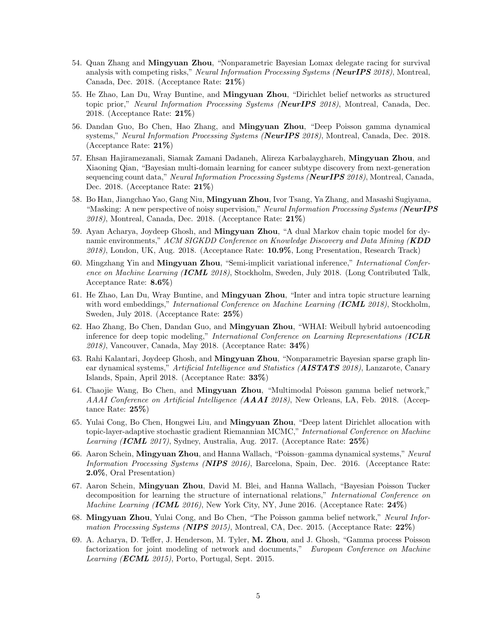- 54. Quan Zhang and Mingyuan Zhou, "Nonparametric Bayesian Lomax delegate racing for survival analysis with competing risks," *Neural Information Processing Systems (NeurIPS 2018)*, Montreal, Canada, Dec. 2018. (Acceptance Rate: 21%)
- 55. He Zhao, Lan Du, Wray Buntine, and Mingyuan Zhou, "Dirichlet belief networks as structured topic prior," *Neural Information Processing Systems (NeurIPS 2018)*, Montreal, Canada, Dec. 2018. (Acceptance Rate: 21%)
- 56. Dandan Guo, Bo Chen, Hao Zhang, and Mingyuan Zhou, "Deep Poisson gamma dynamical systems," *Neural Information Processing Systems (NeurIPS 2018)*, Montreal, Canada, Dec. 2018. (Acceptance Rate: 21%)
- 57. Ehsan Hajiramezanali, Siamak Zamani Dadaneh, Alireza Karbalayghareh, Mingyuan Zhou, and Xiaoning Qian, "Bayesian multi-domain learning for cancer subtype discovery from next-generation sequencing count data," *Neural Information Processing Systems (NeurIPS 2018)*, Montreal, Canada, Dec. 2018. (Acceptance Rate: 21%)
- 58. Bo Han, Jiangchao Yao, Gang Niu, Mingyuan Zhou, Ivor Tsang, Ya Zhang, and Masashi Sugiyama, "Masking: A new perspective of noisy supervision," *Neural Information Processing Systems (NeurIPS 2018)*, Montreal, Canada, Dec. 2018. (Acceptance Rate: 21%)
- 59. Ayan Acharya, Joydeep Ghosh, and Mingyuan Zhou, "A dual Markov chain topic model for dynamic environments," *ACM SIGKDD Conference on Knowledge Discovery and Data Mining (KDD 2018)*, London, UK, Aug. 2018. (Acceptance Rate: 10.9%, Long Presentation, Research Track)
- 60. Mingzhang Yin and Mingyuan Zhou, "Semi-implicit variational inference," *International Conference on Machine Learning (ICML 2018)*, Stockholm, Sweden, July 2018. (Long Contributed Talk, Acceptance Rate: 8.6%)
- 61. He Zhao, Lan Du, Wray Buntine, and Mingyuan Zhou, "Inter and intra topic structure learning with word embeddings," *International Conference on Machine Learning (ICML 2018)*, Stockholm, Sweden, July 2018. (Acceptance Rate: 25%)
- 62. Hao Zhang, Bo Chen, Dandan Guo, and Mingyuan Zhou, "WHAI: Weibull hybrid autoencoding inference for deep topic modeling," *International Conference on Learning Representations (ICLR 2018)*, Vancouver, Canada, May 2018. (Acceptance Rate: 34%)
- 63. Rahi Kalantari, Joydeep Ghosh, and Mingyuan Zhou, "Nonparametric Bayesian sparse graph linear dynamical systems," *Artificial Intelligence and Statistics (AISTATS 2018)*, Lanzarote, Canary Islands, Spain, April 2018. (Acceptance Rate: 33%)
- 64. Chaojie Wang, Bo Chen, and Mingyuan Zhou, "Multimodal Poisson gamma belief network," *AAAI Conference on Artificial Intelligence (AAAI 2018)*, New Orleans, LA, Feb. 2018. (Acceptance Rate: 25%)
- 65. Yulai Cong, Bo Chen, Hongwei Liu, and Mingyuan Zhou, "Deep latent Dirichlet allocation with topic-layer-adaptive stochastic gradient Riemannian MCMC," *International Conference on Machine Learning (ICML 2017)*, Sydney, Australia, Aug. 2017. (Acceptance Rate: 25%)
- 66. Aaron Schein, Mingyuan Zhou, and Hanna Wallach, "Poisson–gamma dynamical systems," *Neural Information Processing Systems (NIPS 2016)*, Barcelona, Spain, Dec. 2016. (Acceptance Rate: 2.0%, Oral Presentation)
- 67. Aaron Schein, Mingyuan Zhou, David M. Blei, and Hanna Wallach, "Bayesian Poisson Tucker decomposition for learning the structure of international relations," *International Conference on Machine Learning (ICML 2016)*, New York City, NY, June 2016. (Acceptance Rate: 24%)
- 68. Mingyuan Zhou, Yulai Cong, and Bo Chen, "The Poisson gamma belief network," *Neural Information Processing Systems (NIPS 2015)*, Montreal, CA, Dec. 2015. (Acceptance Rate: 22%)
- 69. A. Acharya, D. Teffer, J. Henderson, M. Tyler, M. Zhou, and J. Ghosh, "Gamma process Poisson factorization for joint modeling of network and documents," *European Conference on Machine Learning (ECML 2015)*, Porto, Portugal, Sept. 2015.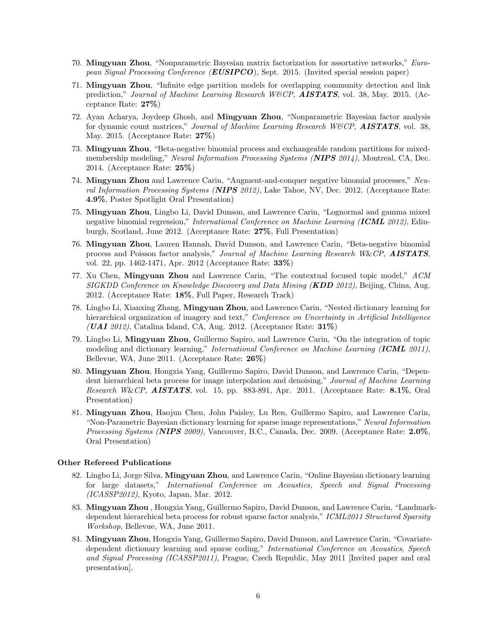- 70. Mingyuan Zhou, "Nonparametric Bayesian matrix factorization for assortative networks," *European Signal Processing Conference (EUSIPCO*), Sept. 2015. (Invited special session paper)
- 71. Mingyuan Zhou, "Infinite edge partition models for overlapping community detection and link prediction," *Journal of Machine Learning Research W&CP, AISTATS*, vol. 38, May. 2015. (Acceptance Rate: 27%)
- 72. Ayan Acharya, Joydeep Ghosh, and Mingyuan Zhou, "Nonparametric Bayesian factor analysis for dynamic count matrices," *Journal of Machine Learning Research W&CP, AISTATS*, vol. 38, May. 2015. (Acceptance Rate: 27%)
- 73. Mingyuan Zhou, "Beta-negative binomial process and exchangeable random partitions for mixedmembership modeling," *Neural Information Processing Systems (NIPS 2014)*, Montreal, CA, Dec. 2014. (Acceptance Rate: 25%)
- 74. Mingyuan Zhou and Lawrence Carin, "Augment-and-conquer negative binomial processes," *Neural Information Processing Systems (NIPS 2012)*, Lake Tahoe, NV, Dec. 2012. (Acceptance Rate: 4.9%, Poster Spotlight Oral Presentation)
- 75. Mingyuan Zhou, Lingbo Li, David Dunson, and Lawrence Carin, "Lognormal and gamma mixed negative binomial regression," *International Conference on Machine Learning (ICML 2012)*, Edinburgh, Scotland, June 2012. (Acceptance Rate: 27%, Full Presentation)
- 76. Mingyuan Zhou, Lauren Hannah, David Dunson, and Lawrence Carin, "Beta-negative binomial process and Poisson factor analysis," *Journal of Machine Learning Research W*&*CP, AISTATS*, vol. 22, pp. 1462-1471, Apr. 2012 (Acceptance Rate: 33%)
- 77. Xu Chen, Mingyuan Zhou and Lawrence Carin, "The contextual focused topic model," *ACM SIGKDD Conference on Knowledge Discovery and Data Mining (KDD 2012)*, Beijing, China, Aug. 2012. (Acceptance Rate: 18%, Full Paper, Research Track)
- 78. Lingbo Li, Xianxing Zhang, Mingyuan Zhou, and Lawrence Carin, "Nested dictionary learning for hierarchical organization of imagery and text," *Conference on Uncertainty in Artificial Intelligence (UAI 2012)*, Catalina Island, CA, Aug. 2012. (Acceptance Rate: 31%)
- 79. Lingbo Li, Mingyuan Zhou, Guillermo Sapiro, and Lawrence Carin, "On the integration of topic modeling and dictionary learning," *International Conference on Machine Learning (ICML 2011)*, Bellevue, WA, June 2011. (Acceptance Rate: 26%)
- 80. Mingyuan Zhou, Hongxia Yang, Guillermo Sapiro, David Dunson, and Lawrence Carin, "Dependent hierarchical beta process for image interpolation and denoising," *Journal of Machine Learning Research W*&*CP, AISTATS*, vol. 15, pp. 883-891, Apr. 2011. (Acceptance Rate: 8.1%, Oral Presentation)
- 81. Mingyuan Zhou, Haojun Chen, John Paisley, Lu Ren, Guillermo Sapiro, and Lawrence Carin, "Non-Parametric Bayesian dictionary learning for sparse image representations," *Neural Information Processing Systems (NIPS 2009)*, Vancouver, B.C., Canada, Dec. 2009. (Acceptance Rate: 2.0%, Oral Presentation)

#### Other Refereed Publications

- 82. Lingbo Li, Jorge Silva, Mingyuan Zhou, and Lawrence Carin, "Online Bayesian dictionary learning for large datasets," *International Conference on Acoustics, Speech and Signal Processing (ICASSP2012)*, Kyoto, Japan, Mar. 2012.
- 83. Mingyuan Zhou , Hongxia Yang, Guillermo Sapiro, David Dunson, and Lawrence Carin, "Landmarkdependent hierarchical beta process for robust sparse factor analysis," *ICML2011 Structured Sparsity Workshop*, Bellevue, WA, June 2011.
- 84. Mingyuan Zhou, Hongxia Yang, Guillermo Sapiro, David Dunson, and Lawrence Carin, "Covariatedependent dictionary learning and sparse coding," *International Conference on Acoustics, Speech and Signal Processing (ICASSP2011)*, Prague, Czech Republic, May 2011 [Invited paper and oral presentation].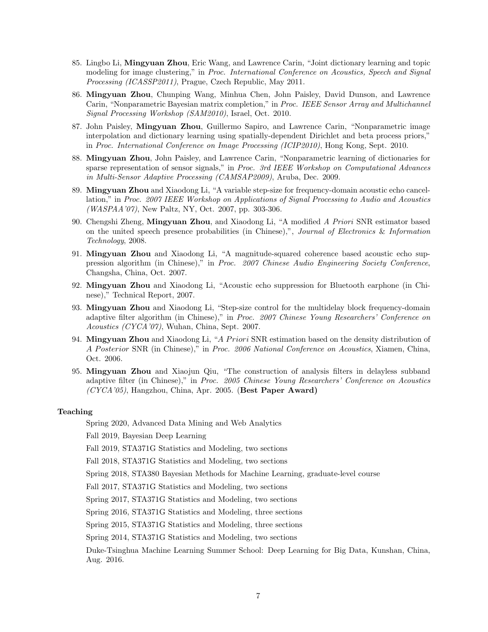- 85. Lingbo Li, Mingyuan Zhou, Eric Wang, and Lawrence Carin, "Joint dictionary learning and topic modeling for image clustering," in *Proc. International Conference on Acoustics, Speech and Signal Processing (ICASSP2011)*, Prague, Czech Republic, May 2011.
- 86. Mingyuan Zhou, Chunping Wang, Minhua Chen, John Paisley, David Dunson, and Lawrence Carin, "Nonparametric Bayesian matrix completion," in *Proc. IEEE Sensor Array and Multichannel Signal Processing Workshop (SAM2010)*, Israel, Oct. 2010.
- 87. John Paisley, Mingyuan Zhou, Guillermo Sapiro, and Lawrence Carin, "Nonparametric image interpolation and dictionary learning using spatially-dependent Dirichlet and beta process priors," in *Proc. International Conference on Image Processing (ICIP2010)*, Hong Kong, Sept. 2010.
- 88. Mingyuan Zhou, John Paisley, and Lawrence Carin, "Nonparametric learning of dictionaries for sparse representation of sensor signals," in *Proc. 3rd IEEE Workshop on Computational Advances in Multi-Sensor Adaptive Processing (CAMSAP2009)*, Aruba, Dec. 2009.
- 89. Mingyuan Zhou and Xiaodong Li, "A variable step-size for frequency-domain acoustic echo cancellation," in *Proc. 2007 IEEE Workshop on Applications of Signal Processing to Audio and Acoustics (WASPAA'07)*, New Paltz, NY, Oct. 2007, pp. 303-306.
- 90. Chengshi Zheng, Mingyuan Zhou, and Xiaodong Li, "A modified *A Priori* SNR estimator based on the united speech presence probabilities (in Chinese),", *Journal of Electronics* & *Information Technology*, 2008.
- 91. Mingyuan Zhou and Xiaodong Li, "A magnitude-squared coherence based acoustic echo suppression algorithm (in Chinese)," in *Proc. 2007 Chinese Audio Engineering Society Conference*, Changsha, China, Oct. 2007.
- 92. Mingyuan Zhou and Xiaodong Li, "Acoustic echo suppression for Bluetooth earphone (in Chinese)," Technical Report, 2007.
- 93. Mingyuan Zhou and Xiaodong Li, "Step-size control for the multidelay block frequency-domain adaptive filter algorithm (in Chinese)," in *Proc. 2007 Chinese Young Researchers' Conference on Acoustics (CYCA'07)*, Wuhan, China, Sept. 2007.
- 94. Mingyuan Zhou and Xiaodong Li, "*A P riori* SNR estimation based on the density distribution of *A P osterior* SNR (in Chinese)," in *Proc. 2006 National Conference on Acoustics*, Xiamen, China, Oct. 2006.
- 95. Mingyuan Zhou and Xiaojun Qiu, "The construction of analysis filters in delayless subband adaptive filter (in Chinese)," in *Proc. 2005 Chinese Young Researchers' Conference on Acoustics (CYCA'05)*, Hangzhou, China, Apr. 2005. (Best Paper Award)

### Teaching

Spring 2020, Advanced Data Mining and Web Analytics

Fall 2019, Bayesian Deep Learning

Fall 2019, STA371G Statistics and Modeling, two sections

Fall 2018, STA371G Statistics and Modeling, two sections

Spring 2018, STA380 Bayesian Methods for Machine Learning, graduate-level course

Fall 2017, STA371G Statistics and Modeling, two sections

Spring 2017, STA371G Statistics and Modeling, two sections

Spring 2016, STA371G Statistics and Modeling, three sections

Spring 2015, STA371G Statistics and Modeling, three sections

Spring 2014, STA371G Statistics and Modeling, two sections

Duke-Tsinghua Machine Learning Summer School: Deep Learning for Big Data, Kunshan, China, Aug. 2016.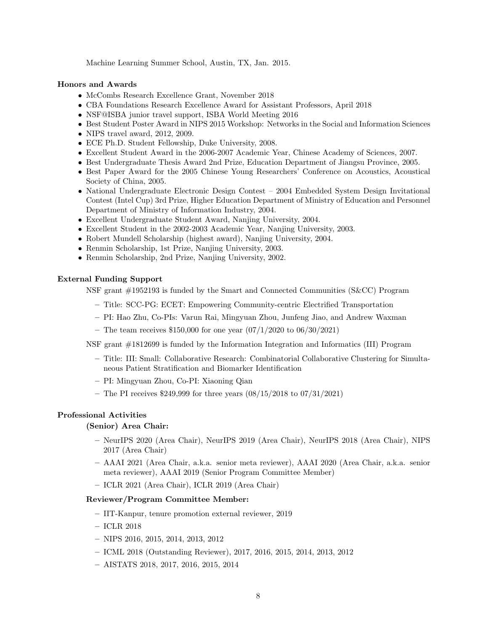Machine Learning Summer School, Austin, TX, Jan. 2015.

### Honors and Awards

- *•* McCombs Research Excellence Grant, November 2018
- *•* CBA Foundations Research Excellence Award for Assistant Professors, April 2018
- *•* NSF@ISBA junior travel support, ISBA World Meeting 2016
- Best Student Poster Award in NIPS 2015 Workshop: Networks in the Social and Information Sciences
- NIPS travel award, 2012, 2009.
- *•* ECE Ph.D. Student Fellowship, Duke University, 2008.
- *•* Excellent Student Award in the 2006-2007 Academic Year, Chinese Academy of Sciences, 2007.
- Best Undergraduate Thesis Award 2nd Prize, Education Department of Jiangsu Province, 2005.
- *•* Best Paper Award for the 2005 Chinese Young Researchers' Conference on Acoustics, Acoustical Society of China, 2005.
- National Undergraduate Electronic Design Contest 2004 Embedded System Design Invitational Contest (Intel Cup) 3rd Prize, Higher Education Department of Ministry of Education and Personnel Department of Ministry of Information Industry, 2004.
- *•* Excellent Undergraduate Student Award, Nanjing University, 2004.
- *•* Excellent Student in the 2002-2003 Academic Year, Nanjing University, 2003.
- Robert Mundell Scholarship (highest award), Nanjing University, 2004.
- Renmin Scholarship, 1st Prize, Nanjing University, 2003.
- *•* Renmin Scholarship, 2nd Prize, Nanjing University, 2002.

### External Funding Support

NSF grant #1952193 is funded by the Smart and Connected Communities (S&CC) Program

- Title: SCC-PG: ECET: Empowering Community-centric Electrified Transportation
- PI: Hao Zhu, Co-PIs: Varun Rai, Mingyuan Zhou, Junfeng Jiao, and Andrew Waxman
- The team receives \$150,000 for one year  $(07/1/2020 \text{ to } 06/30/2021)$

NSF grant #1812699 is funded by the Information Integration and Informatics (III) Program

- Title: III: Small: Collaborative Research: Combinatorial Collaborative Clustering for Simultaneous Patient Stratification and Biomarker Identification
- PI: Mingyuan Zhou, Co-PI: Xiaoning Qian
- The PI receives \$249,999 for three years  $(08/15/2018 \text{ to } 07/31/2021)$

# Professional Activities

# (Senior) Area Chair:

- NeurIPS 2020 (Area Chair), NeurIPS 2019 (Area Chair), NeurIPS 2018 (Area Chair), NIPS 2017 (Area Chair)
- AAAI 2021 (Area Chair, a.k.a. senior meta reviewer), AAAI 2020 (Area Chair, a.k.a. senior meta reviewer), AAAI 2019 (Senior Program Committee Member)
- ICLR 2021 (Area Chair), ICLR 2019 (Area Chair)

# Reviewer/Program Committee Member:

- IIT-Kanpur, tenure promotion external reviewer, 2019
- ICLR 2018
- NIPS 2016, 2015, 2014, 2013, 2012
- ICML 2018 (Outstanding Reviewer), 2017, 2016, 2015, 2014, 2013, 2012
- AISTATS 2018, 2017, 2016, 2015, 2014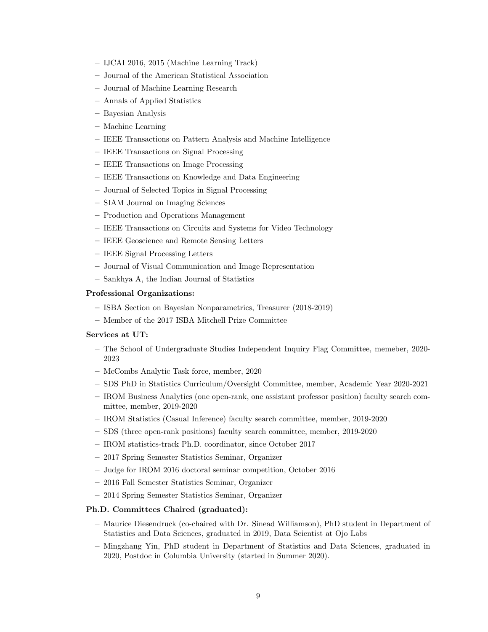- IJCAI 2016, 2015 (Machine Learning Track)
- Journal of the American Statistical Association
- Journal of Machine Learning Research
- Annals of Applied Statistics
- Bayesian Analysis
- Machine Learning
- IEEE Transactions on Pattern Analysis and Machine Intelligence
- IEEE Transactions on Signal Processing
- IEEE Transactions on Image Processing
- IEEE Transactions on Knowledge and Data Engineering
- Journal of Selected Topics in Signal Processing
- SIAM Journal on Imaging Sciences
- Production and Operations Management
- IEEE Transactions on Circuits and Systems for Video Technology
- IEEE Geoscience and Remote Sensing Letters
- IEEE Signal Processing Letters
- Journal of Visual Communication and Image Representation
- Sankhya A, the Indian Journal of Statistics

### Professional Organizations:

- ISBA Section on Bayesian Nonparametrics, Treasurer (2018-2019)
- Member of the 2017 ISBA Mitchell Prize Committee

#### Services at UT:

- The School of Undergraduate Studies Independent Inquiry Flag Committee, memeber, 2020- 2023
- McCombs Analytic Task force, member, 2020
- SDS PhD in Statistics Curriculum/Oversight Committee, member, Academic Year 2020-2021
- IROM Business Analytics (one open-rank, one assistant professor position) faculty search committee, member, 2019-2020
- IROM Statistics (Casual Inference) faculty search committee, member, 2019-2020
- SDS (three open-rank positions) faculty search committee, member, 2019-2020
- IROM statistics-track Ph.D. coordinator, since October 2017
- 2017 Spring Semester Statistics Seminar, Organizer
- Judge for IROM 2016 doctoral seminar competition, October 2016
- 2016 Fall Semester Statistics Seminar, Organizer
- 2014 Spring Semester Statistics Seminar, Organizer

#### Ph.D. Committees Chaired (graduated):

- Maurice Diesendruck (co-chaired with Dr. Sinead Williamson), PhD student in Department of Statistics and Data Sciences, graduated in 2019, Data Scientist at Ojo Labs
- Mingzhang Yin, PhD student in Department of Statistics and Data Sciences, graduated in 2020, Postdoc in Columbia University (started in Summer 2020).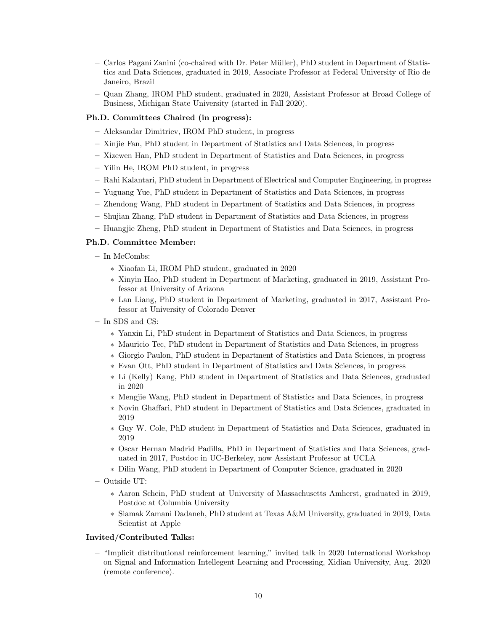- Carlos Pagani Zanini (co-chaired with Dr. Peter M¨uller), PhD student in Department of Statistics and Data Sciences, graduated in 2019, Associate Professor at Federal University of Rio de Janeiro, Brazil
- Quan Zhang, IROM PhD student, graduated in 2020, Assistant Professor at Broad College of Business, Michigan State University (started in Fall 2020).

# Ph.D. Committees Chaired (in progress):

- Aleksandar Dimitriev, IROM PhD student, in progress
- Xinjie Fan, PhD student in Department of Statistics and Data Sciences, in progress
- Xizewen Han, PhD student in Department of Statistics and Data Sciences, in progress
- Yilin He, IROM PhD student, in progress
- Rahi Kalantari, PhD student in Department of Electrical and Computer Engineering, in progress
- Yuguang Yue, PhD student in Department of Statistics and Data Sciences, in progress
- Zhendong Wang, PhD student in Department of Statistics and Data Sciences, in progress
- Shujian Zhang, PhD student in Department of Statistics and Data Sciences, in progress
- Huangjie Zheng, PhD student in Department of Statistics and Data Sciences, in progress

# Ph.D. Committee Member:

- In McCombs:
	- ⇤ Xiaofan Li, IROM PhD student, graduated in 2020
	- ⇤ Xinyin Hao, PhD student in Department of Marketing, graduated in 2019, Assistant Professor at University of Arizona
	- ⇤ Lan Liang, PhD student in Department of Marketing, graduated in 2017, Assistant Professor at University of Colorado Denver
- In SDS and CS:
	- ⇤ Yanxin Li, PhD student in Department of Statistics and Data Sciences, in progress
	- ⇤ Mauricio Tec, PhD student in Department of Statistics and Data Sciences, in progress
	- ⇤ Giorgio Paulon, PhD student in Department of Statistics and Data Sciences, in progress
	- ⇤ Evan Ott, PhD student in Department of Statistics and Data Sciences, in progress
	- ⇤ Li (Kelly) Kang, PhD student in Department of Statistics and Data Sciences, graduated in 2020
	- ⇤ Mengjie Wang, PhD student in Department of Statistics and Data Sciences, in progress
	- ⇤ Novin Gha↵ari, PhD student in Department of Statistics and Data Sciences, graduated in 2019
	- ⇤ Guy W. Cole, PhD student in Department of Statistics and Data Sciences, graduated in 2019
	- ⇤ Oscar Hernan Madrid Padilla, PhD in Department of Statistics and Data Sciences, graduated in 2017, Postdoc in UC-Berkeley, now Assistant Professor at UCLA
	- ⇤ Dilin Wang, PhD student in Department of Computer Science, graduated in 2020
- Outside UT:
	- ⇤ Aaron Schein, PhD student at University of Massachusetts Amherst, graduated in 2019, Postdoc at Columbia University
	- ⇤ Siamak Zamani Dadaneh, PhD student at Texas A&M University, graduated in 2019, Data Scientist at Apple

# Invited/Contributed Talks:

– "Implicit distributional reinforcement learning," invited talk in 2020 International Workshop on Signal and Information Intellegent Learning and Processing, Xidian University, Aug. 2020 (remote conference).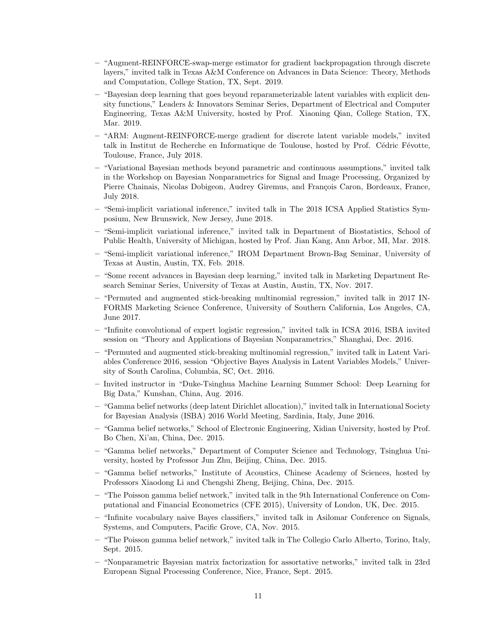- "Augment-REINFORCE-swap-merge estimator for gradient backpropagation through discrete layers," invited talk in Texas A&M Conference on Advances in Data Science: Theory, Methods and Computation, College Station, TX, Sept. 2019.
- "Bayesian deep learning that goes beyond reparameterizable latent variables with explicit density functions," Leaders & Innovators Seminar Series, Department of Electrical and Computer Engineering, Texas A&M University, hosted by Prof. Xiaoning Qian, College Station, TX, Mar. 2019.
- "ARM: Augment-REINFORCE-merge gradient for discrete latent variable models," invited talk in Institut de Recherche en Informatique de Toulouse, hosted by Prof. Cédric Févotte, Toulouse, France, July 2018.
- "Variational Bayesian methods beyond parametric and continuous assumptions," invited talk in the Workshop on Bayesian Nonparametrics for Signal and Image Processing, Organized by Pierre Chainais, Nicolas Dobigeon, Audrey Giremus, and François Caron, Bordeaux, France, July 2018.
- "Semi-implicit variational inference," invited talk in The 2018 ICSA Applied Statistics Symposium, New Brunswick, New Jersey, June 2018.
- "Semi-implicit variational inference," invited talk in Department of Biostatistics, School of Public Health, University of Michigan, hosted by Prof. Jian Kang, Ann Arbor, MI, Mar. 2018.
- "Semi-implicit variational inference," IROM Department Brown-Bag Seminar, University of Texas at Austin, Austin, TX, Feb. 2018.
- "Some recent advances in Bayesian deep learning," invited talk in Marketing Department Research Seminar Series, University of Texas at Austin, Austin, TX, Nov. 2017.
- "Permuted and augmented stick-breaking multinomial regression," invited talk in 2017 IN-FORMS Marketing Science Conference, University of Southern California, Los Angeles, CA, June 2017.
- "Infinite convolutional of expert logistic regression," invited talk in ICSA 2016, ISBA invited session on "Theory and Applications of Bayesian Nonparametrics," Shanghai, Dec. 2016.
- "Permuted and augmented stick-breaking multinomial regression," invited talk in Latent Variables Conference 2016, session "Objective Bayes Analysis in Latent Variables Models," University of South Carolina, Columbia, SC, Oct. 2016.
- Invited instructor in "Duke-Tsinghua Machine Learning Summer School: Deep Learning for Big Data," Kunshan, China, Aug. 2016.
- "Gamma belief networks (deep latent Dirichlet allocation)," invited talk in International Society for Bayesian Analysis (ISBA) 2016 World Meeting, Sardinia, Italy, June 2016.
- "Gamma belief networks," School of Electronic Engineering, Xidian University, hosted by Prof. Bo Chen, Xi'an, China, Dec. 2015.
- "Gamma belief networks," Department of Computer Science and Technology, Tsinghua University, hosted by Professor Jun Zhu, Beijing, China, Dec. 2015.
- "Gamma belief networks," Institute of Acoustics, Chinese Academy of Sciences, hosted by Professors Xiaodong Li and Chengshi Zheng, Beijing, China, Dec. 2015.
- "The Poisson gamma belief network," invited talk in the 9th International Conference on Computational and Financial Econometrics (CFE 2015), University of London, UK, Dec. 2015.
- "Infinite vocabulary naive Bayes classifiers," invited talk in Asilomar Conference on Signals, Systems, and Computers, Pacific Grove, CA, Nov. 2015.
- "The Poisson gamma belief network," invited talk in The Collegio Carlo Alberto, Torino, Italy, Sept. 2015.
- "Nonparametric Bayesian matrix factorization for assortative networks," invited talk in 23rd European Signal Processing Conference, Nice, France, Sept. 2015.